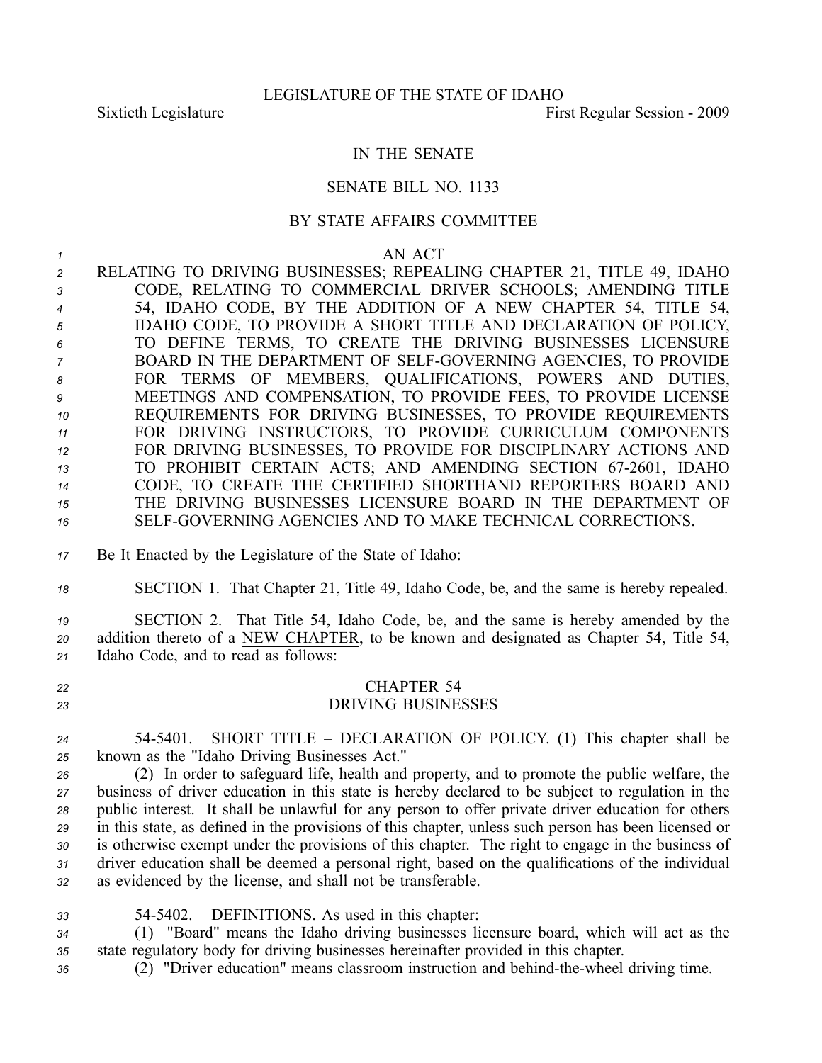## IN THE SENATE

## SENATE BILL NO. 1133

## BY STATE AFFAIRS COMMITTEE

*1* AN ACT

 RELATING TO DRIVING BUSINESSES; REPEALING CHAPTER 21, TITLE 49, IDAHO CODE, RELATING TO COMMERCIAL DRIVER SCHOOLS; AMENDING TITLE 54, IDAHO CODE, BY THE ADDITION OF A NEW CHAPTER 54, TITLE 54, IDAHO CODE, TO PROVIDE A SHORT TITLE AND DECLARATION OF POLICY, TO DEFINE TERMS, TO CREATE THE DRIVING BUSINESSES LICENSURE BOARD IN THE DEPARTMENT OF SELFGOVERNING AGENCIES, TO PROVIDE FOR TERMS OF MEMBERS, QUALIFICATIONS, POWERS AND DUTIES, MEETINGS AND COMPENSATION, TO PROVIDE FEES, TO PROVIDE LICENSE REQUIREMENTS FOR DRIVING BUSINESSES, TO PROVIDE REQUIREMENTS FOR DRIVING INSTRUCTORS, TO PROVIDE CURRICULUM COMPONENTS FOR DRIVING BUSINESSES, TO PROVIDE FOR DISCIPLINARY ACTIONS AND 13 TO PROHIBIT CERTAIN ACTS; AND AMENDING SECTION 67-2601, IDAHO CODE, TO CREATE THE CERTIFIED SHORTHAND REPORTERS BOARD AND THE DRIVING BUSINESSES LICENSURE BOARD IN THE DEPARTMENT OF SELFGOVERNING AGENCIES AND TO MAKE TECHNICAL CORRECTIONS.

- *<sup>17</sup>* Be It Enacted by the Legislature of the State of Idaho:
- *<sup>18</sup>* SECTION 1. That Chapter 21, Title 49, Idaho Code, be, and the same is hereby repealed.

*<sup>19</sup>* SECTION 2. That Title 54, Idaho Code, be, and the same is hereby amended by the *<sup>20</sup>* addition thereto of <sup>a</sup> NEW CHAPTER, to be known and designated as Chapter 54, Title 54, *<sup>21</sup>* Idaho Code, and to read as follows:

- *<sup>22</sup>* CHAPTER 54 *23* DRIVING BUSINESSES
- *<sup>24</sup>* 545401. SHORT TITLE DECLARATION OF POLICY. (1) This chapter shall be *<sup>25</sup>* known as the "Idaho Driving Businesses Act."

 (2) In order to safeguard life, health and property, and to promote the public welfare, the business of driver education in this state is hereby declared to be subject to regulation in the public interest. It shall be unlawful for any person to offer private driver education for others in this state, as defined in the provisions of this chapter, unless such person has been licensed or is otherwise exemp<sup>t</sup> under the provisions of this chapter. The right to engage in the business of driver education shall be deemed <sup>a</sup> personal right, based on the qualifications of the individual as evidenced by the license, and shall not be transferable.

*<sup>33</sup>* 545402. DEFINITIONS. As used in this chapter:

*<sup>34</sup>* (1) "Board" means the Idaho driving businesses licensure board, which will act as the *<sup>35</sup>* state regulatory body for driving businesses hereinafter provided in this chapter.

36 (2) "Driver education" means classroom instruction and behind-the-wheel driving time.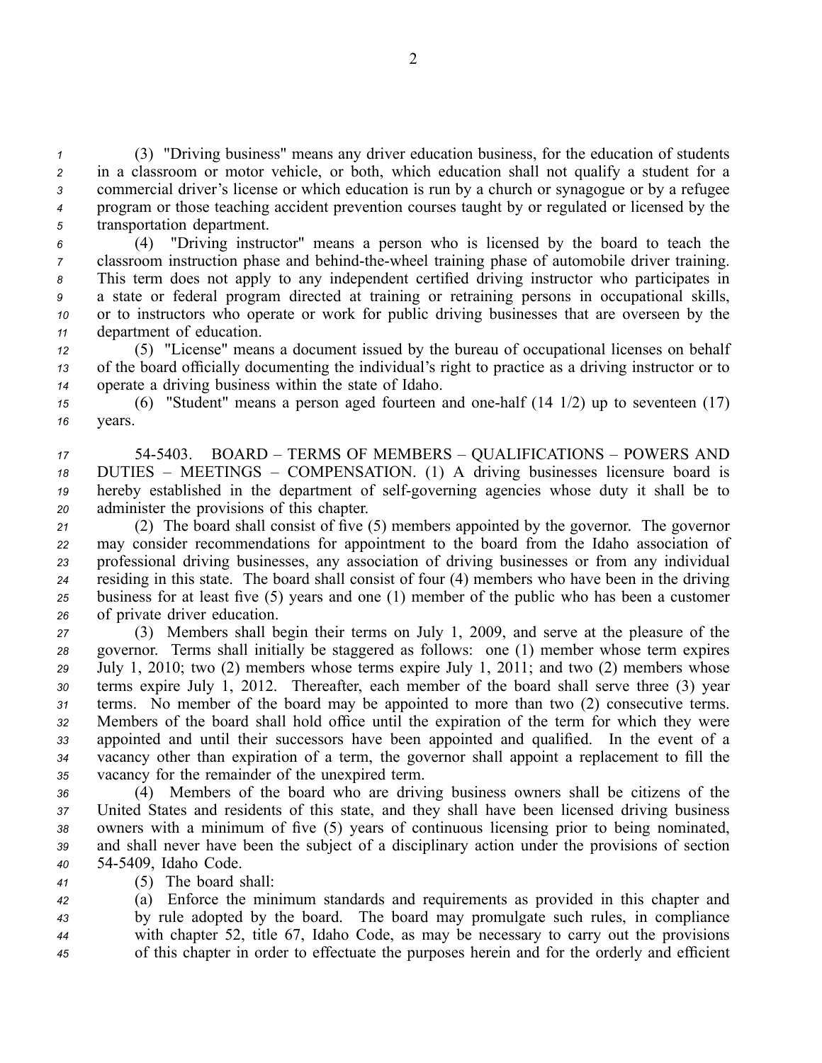(3) "Driving business" means any driver education business, for the education of students in <sup>a</sup> classroom or motor vehicle, or both, which education shall not qualify <sup>a</sup> student for <sup>a</sup> commercial driver's license or which education is run by <sup>a</sup> church or synagogue or by <sup>a</sup> refugee program or those teaching accident prevention courses taught by or regulated or licensed by the transportation department.

 (4) "Driving instructor" means <sup>a</sup> person who is licensed by the board to teach the classroom instruction phase and behind-the-wheel training phase of automobile driver training. This term does not apply to any independent certified driving instructor who participates in <sup>a</sup> state or federal program directed at training or retraining persons in occupational skills, or to instructors who operate or work for public driving businesses that are overseen by the department of education.

*<sup>12</sup>* (5) "License" means <sup>a</sup> document issued by the bureau of occupational licenses on behalf *<sup>13</sup>* of the board officially documenting the individual's right to practice as <sup>a</sup> driving instructor or to *<sup>14</sup>* operate <sup>a</sup> driving business within the state of Idaho.

*<sup>15</sup>* (6) "Student" means <sup>a</sup> person aged fourteen and onehalf (14 1/2) up to seventeen (17) *16* years.

 545403. BOARD – TERMS OF MEMBERS – QUALIFICATIONS – POWERS AND DUTIES – MEETINGS – COMPENSATION. (1) A driving businesses licensure board is 19 hereby established in the department of self-governing agencies whose duty it shall be to administer the provisions of this chapter.

 (2) The board shall consist of five (5) members appointed by the governor. The governor may consider recommendations for appointment to the board from the Idaho association of professional driving businesses, any association of driving businesses or from any individual residing in this state. The board shall consist of four (4) members who have been in the driving business for at least five (5) years and one (1) member of the public who has been <sup>a</sup> customer of private driver education.

 (3) Members shall begin their terms on July 1, 2009, and serve at the pleasure of the governor. Terms shall initially be staggered as follows: one (1) member whose term expires July 1, 2010; two (2) members whose terms expire July 1, 2011; and two (2) members whose terms expire July 1, 2012. Thereafter, each member of the board shall serve three (3) year terms. No member of the board may be appointed to more than two (2) consecutive terms. Members of the board shall hold office until the expiration of the term for which they were appointed and until their successors have been appointed and qualified. In the event of <sup>a</sup> vacancy other than expiration of <sup>a</sup> term, the governor shall appoint <sup>a</sup> replacement to fill the vacancy for the remainder of the unexpired term.

 (4) Members of the board who are driving business owners shall be citizens of the United States and residents of this state, and they shall have been licensed driving business owners with <sup>a</sup> minimum of five (5) years of continuous licensing prior to being nominated, and shall never have been the subject of <sup>a</sup> disciplinary action under the provisions of section 545409, Idaho Code.

*<sup>41</sup>* (5) The board shall:

 (a) Enforce the minimum standards and requirements as provided in this chapter and by rule adopted by the board. The board may promulgate such rules, in compliance with chapter 52, title 67, Idaho Code, as may be necessary to carry out the provisions of this chapter in order to effectuate the purposes herein and for the orderly and efficient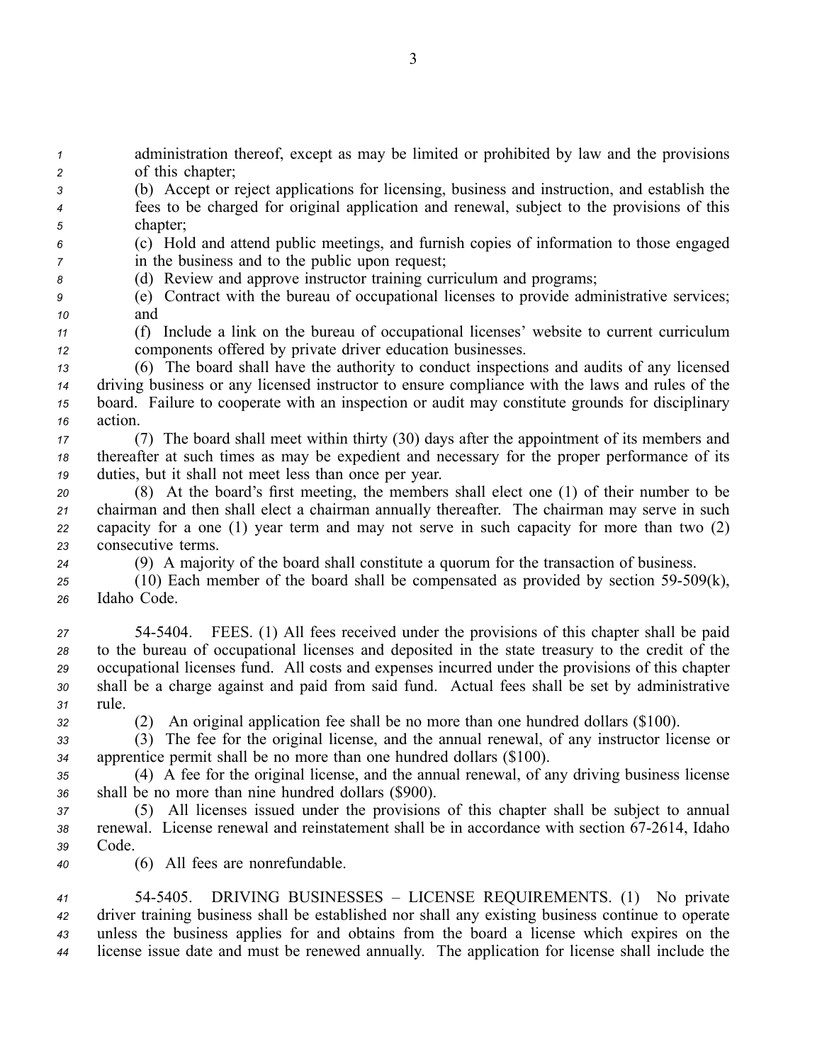*<sup>1</sup>* administration thereof, excep<sup>t</sup> as may be limited or prohibited by law and the provisions *<sup>2</sup>* of this chapter;

- *<sup>3</sup>* (b) Accept or reject applications for licensing, business and instruction, and establish the *<sup>4</sup>* fees to be charged for original application and renewal, subject to the provisions of this *<sup>5</sup>* chapter;
- *<sup>6</sup>* (c) Hold and attend public meetings, and furnish copies of information to those engaged *7* in the business and to the public upon request;
- *<sup>8</sup>* (d) Review and approve instructor training curriculum and programs;
- *<sup>9</sup>* (e) Contract with the bureau of occupational licenses to provide administrative services; *<sup>10</sup>* and
- *<sup>11</sup>* (f) Include <sup>a</sup> link on the bureau of occupational licenses' website to current curriculum *<sup>12</sup>* components offered by private driver education businesses.
- *<sup>13</sup>* (6) The board shall have the authority to conduct inspections and audits of any licensed *<sup>14</sup>* driving business or any licensed instructor to ensure compliance with the laws and rules of the *<sup>15</sup>* board. Failure to cooperate with an inspection or audit may constitute grounds for disciplinary *<sup>16</sup>* action.
- *<sup>17</sup>* (7) The board shall meet within thirty (30) days after the appointment of its members and *<sup>18</sup>* thereafter at such times as may be expedient and necessary for the proper performance of its *<sup>19</sup>* duties, but it shall not meet less than once per year.
- *<sup>20</sup>* (8) At the board's first meeting, the members shall elect one (1) of their number to be *<sup>21</sup>* chairman and then shall elect <sup>a</sup> chairman annually thereafter. The chairman may serve in such *<sup>22</sup>* capacity for <sup>a</sup> one (1) year term and may not serve in such capacity for more than two (2) *<sup>23</sup>* consecutive terms.
- *<sup>24</sup>* (9) A majority of the board shall constitute <sup>a</sup> quorum for the transaction of business.
- 25 (10) Each member of the board shall be compensated as provided by section 59-509(k), *<sup>26</sup>* Idaho Code.
- *<sup>27</sup>* 545404. FEES. (1) All fees received under the provisions of this chapter shall be paid *<sup>28</sup>* to the bureau of occupational licenses and deposited in the state treasury to the credit of the *<sup>29</sup>* occupational licenses fund. All costs and expenses incurred under the provisions of this chapter *<sup>30</sup>* shall be <sup>a</sup> charge against and paid from said fund. Actual fees shall be set by administrative *<sup>31</sup>* rule.
- 

*<sup>32</sup>* (2) An original application fee shall be no more than one hundred dollars (\$100).

- *<sup>33</sup>* (3) The fee for the original license, and the annual renewal, of any instructor license or *<sup>34</sup>* apprentice permit shall be no more than one hundred dollars (\$100).
- *<sup>35</sup>* (4) A fee for the original license, and the annual renewal, of any driving business license *<sup>36</sup>* shall be no more than nine hundred dollars (\$900).
- *<sup>37</sup>* (5) All licenses issued under the provisions of this chapter shall be subject to annual 38 renewal. License renewal and reinstatement shall be in accordance with section 67-2614, Idaho *<sup>39</sup>* Code.
- *<sup>40</sup>* (6) All fees are nonrefundable.
- *<sup>41</sup>* 545405. DRIVING BUSINESSES LICENSE REQUIREMENTS. (1) No private *<sup>42</sup>* driver training business shall be established nor shall any existing business continue to operate *<sup>43</sup>* unless the business applies for and obtains from the board <sup>a</sup> license which expires on the *<sup>44</sup>* license issue date and must be renewed annually. The application for license shall include the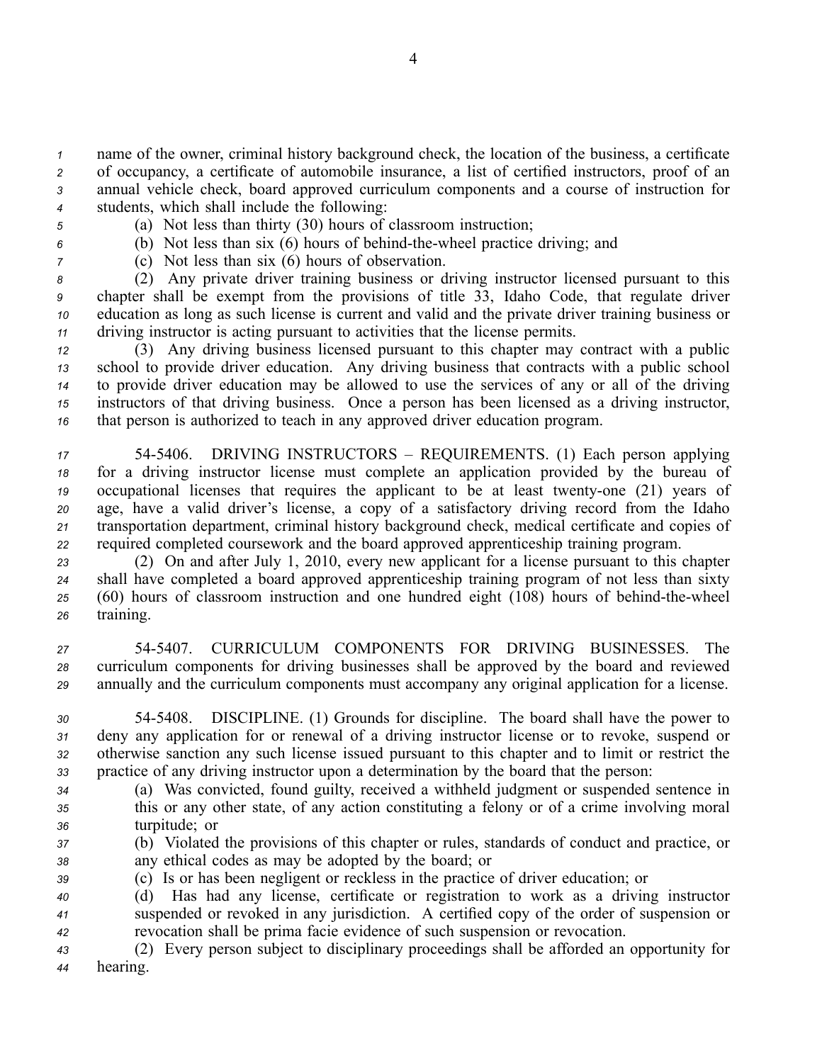name of the owner, criminal history background check, the location of the business, <sup>a</sup> certificate of occupancy, <sup>a</sup> certificate of automobile insurance, <sup>a</sup> list of certified instructors, proof of an annual vehicle check, board approved curriculum components and <sup>a</sup> course of instruction for students, which shall include the following:

- 
- *<sup>5</sup>* (a) Not less than thirty (30) hours of classroom instruction;
- 6 (b) Not less than six (6) hours of behind-the-wheel practice driving; and
- *<sup>7</sup>* (c) Not less than six (6) hours of observation.

 (2) Any private driver training business or driving instructor licensed pursuan<sup>t</sup> to this chapter shall be exemp<sup>t</sup> from the provisions of title 33, Idaho Code, that regulate driver education as long as such license is current and valid and the private driver training business or driving instructor is acting pursuan<sup>t</sup> to activities that the license permits.

 (3) Any driving business licensed pursuan<sup>t</sup> to this chapter may contract with <sup>a</sup> public school to provide driver education. Any driving business that contracts with <sup>a</sup> public school to provide driver education may be allowed to use the services of any or all of the driving instructors of that driving business. Once <sup>a</sup> person has been licensed as <sup>a</sup> driving instructor, that person is authorized to teach in any approved driver education program.

 545406. DRIVING INSTRUCTORS – REQUIREMENTS. (1) Each person applying for <sup>a</sup> driving instructor license must complete an application provided by the bureau of occupational licenses that requires the applicant to be at least twenty-one (21) years of age, have <sup>a</sup> valid driver's license, <sup>a</sup> copy of <sup>a</sup> satisfactory driving record from the Idaho transportation department, criminal history background check, medical certificate and copies of required completed coursework and the board approved apprenticeship training program.

 (2) On and after July 1, 2010, every new applicant for <sup>a</sup> license pursuan<sup>t</sup> to this chapter shall have completed <sup>a</sup> board approved apprenticeship training program of not less than sixty 25 (60) hours of classroom instruction and one hundred eight (108) hours of behind-the-wheel training.

*<sup>27</sup>* 545407. CURRICULUM COMPONENTS FOR DRIVING BUSINESSES. The *<sup>28</sup>* curriculum components for driving businesses shall be approved by the board and reviewed *<sup>29</sup>* annually and the curriculum components must accompany any original application for <sup>a</sup> license.

 545408. DISCIPLINE. (1) Grounds for discipline. The board shall have the power to deny any application for or renewal of <sup>a</sup> driving instructor license or to revoke, suspend or otherwise sanction any such license issued pursuan<sup>t</sup> to this chapter and to limit or restrict the practice of any driving instructor upon <sup>a</sup> determination by the board that the person:

*<sup>34</sup>* (a) Was convicted, found guilty, received <sup>a</sup> withheld judgment or suspended sentence in *<sup>35</sup>* this or any other state, of any action constituting <sup>a</sup> felony or of <sup>a</sup> crime involving moral *<sup>36</sup>* turpitude; or

- *<sup>37</sup>* (b) Violated the provisions of this chapter or rules, standards of conduct and practice, or *<sup>38</sup>* any ethical codes as may be adopted by the board; or
- *<sup>39</sup>* (c) Is or has been negligent or reckless in the practice of driver education; or

*<sup>40</sup>* (d) Has had any license, certificate or registration to work as <sup>a</sup> driving instructor *<sup>41</sup>* suspended or revoked in any jurisdiction. A certified copy of the order of suspension or *<sup>42</sup>* revocation shall be prima facie evidence of such suspension or revocation.

*<sup>43</sup>* (2) Every person subject to disciplinary proceedings shall be afforded an opportunity for *<sup>44</sup>* hearing.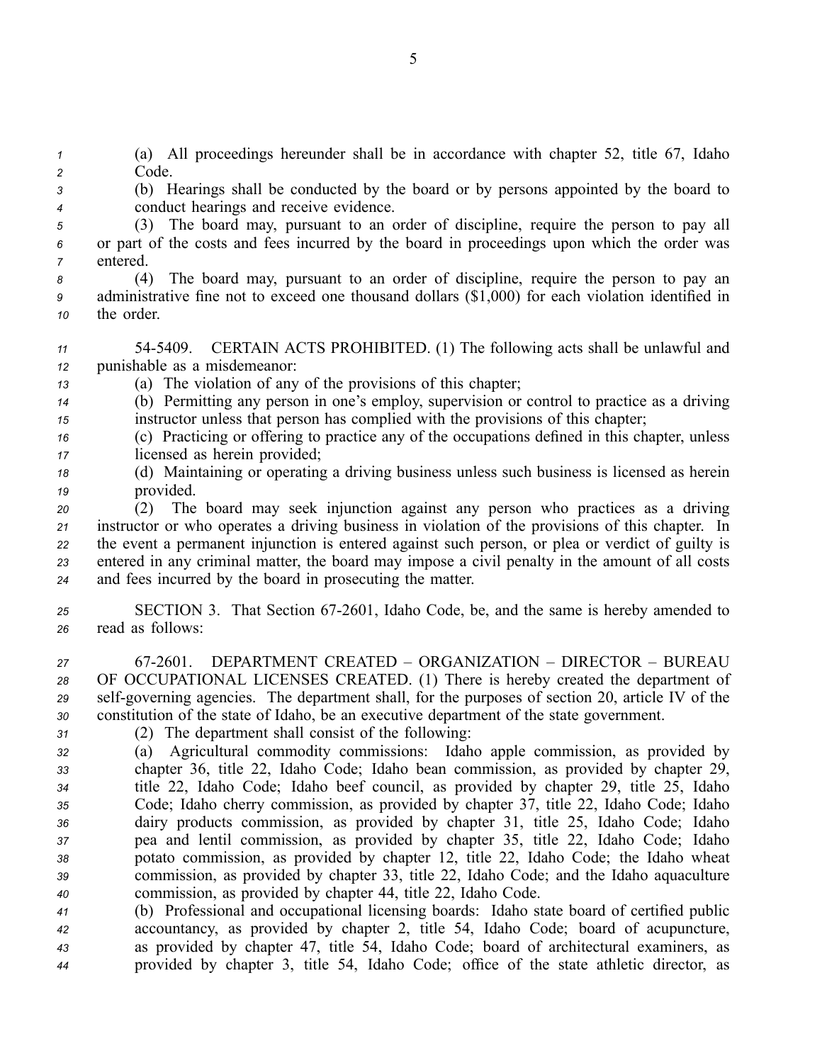*<sup>1</sup>* (a) All proceedings hereunder shall be in accordance with chapter 52, title 67, Idaho *<sup>2</sup>* Code.

*<sup>3</sup>* (b) Hearings shall be conducted by the board or by persons appointed by the board to *<sup>4</sup>* conduct hearings and receive evidence.

*<sup>5</sup>* (3) The board may, pursuan<sup>t</sup> to an order of discipline, require the person to pay all *<sup>6</sup>* or par<sup>t</sup> of the costs and fees incurred by the board in proceedings upon which the order was *<sup>7</sup>* entered.

- *<sup>8</sup>* (4) The board may, pursuan<sup>t</sup> to an order of discipline, require the person to pay an *<sup>9</sup>* administrative fine not to exceed one thousand dollars (\$1,000) for each violation identified in *<sup>10</sup>* the order.
- *<sup>11</sup>* 545409. CERTAIN ACTS PROHIBITED. (1) The following acts shall be unlawful and *<sup>12</sup>* punishable as <sup>a</sup> misdemeanor:
- *<sup>13</sup>* (a) The violation of any of the provisions of this chapter;
- *<sup>14</sup>* (b) Permitting any person in one's employ, supervision or control to practice as <sup>a</sup> driving *<sup>15</sup>* instructor unless that person has complied with the provisions of this chapter;
- *<sup>16</sup>* (c) Practicing or offering to practice any of the occupations defined in this chapter, unless *<sup>17</sup>* licensed as herein provided;
- *<sup>18</sup>* (d) Maintaining or operating <sup>a</sup> driving business unless such business is licensed as herein *<sup>19</sup>* provided.

 (2) The board may seek injunction against any person who practices as <sup>a</sup> driving instructor or who operates <sup>a</sup> driving business in violation of the provisions of this chapter. In the event <sup>a</sup> permanen<sup>t</sup> injunction is entered against such person, or plea or verdict of guilty is entered in any criminal matter, the board may impose <sup>a</sup> civil penalty in the amount of all costs and fees incurred by the board in prosecuting the matter.

- *<sup>25</sup>* SECTION 3. That Section 672601, Idaho Code, be, and the same is hereby amended to *<sup>26</sup>* read as follows:
- *<sup>27</sup>* 672601. DEPARTMENT CREATED ORGANIZATION DIRECTOR BUREAU *<sup>28</sup>* OF OCCUPATIONAL LICENSES CREATED. (1) There is hereby created the department of 29 self-governing agencies. The department shall, for the purposes of section 20, article IV of the *<sup>30</sup>* constitution of the state of Idaho, be an executive department of the state government.
- 
- *<sup>31</sup>* (2) The department shall consist of the following:
- *<sup>32</sup>* (a) Agricultural commodity commissions: Idaho apple commission, as provided by *<sup>33</sup>* chapter 36, title 22, Idaho Code; Idaho bean commission, as provided by chapter 29, *<sup>34</sup>* title 22, Idaho Code; Idaho beef council, as provided by chapter 29, title 25, Idaho *<sup>35</sup>* Code; Idaho cherry commission, as provided by chapter 37, title 22, Idaho Code; Idaho *<sup>36</sup>* dairy products commission, as provided by chapter 31, title 25, Idaho Code; Idaho *<sup>37</sup>* pea and lentil commission, as provided by chapter 35, title 22, Idaho Code; Idaho *<sup>38</sup>* potato commission, as provided by chapter 12, title 22, Idaho Code; the Idaho wheat *<sup>39</sup>* commission, as provided by chapter 33, title 22, Idaho Code; and the Idaho aquaculture *<sup>40</sup>* commission, as provided by chapter 44, title 22, Idaho Code.
- *<sup>41</sup>* (b) Professional and occupational licensing boards: Idaho state board of certified public *<sup>42</sup>* accountancy, as provided by chapter 2, title 54, Idaho Code; board of acupuncture, *<sup>43</sup>* as provided by chapter 47, title 54, Idaho Code; board of architectural examiners, as *<sup>44</sup>* provided by chapter 3, title 54, Idaho Code; office of the state athletic director, as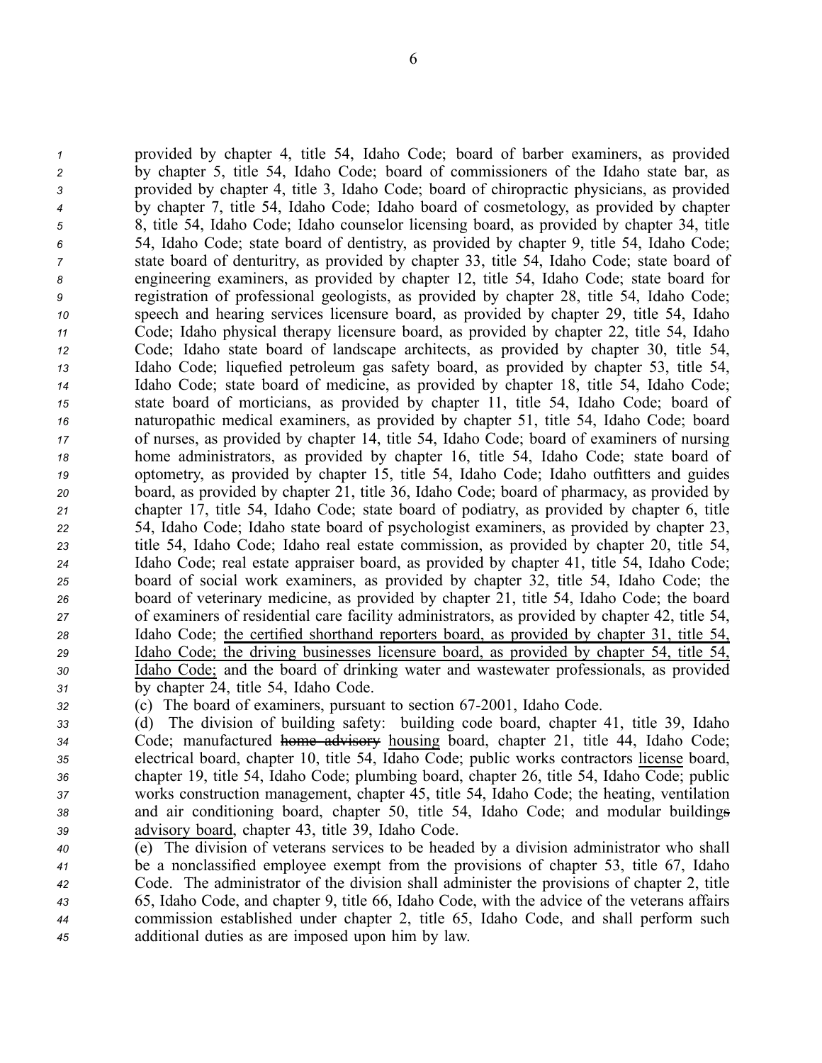provided by chapter 4, title 54, Idaho Code; board of barber examiners, as provided by chapter 5, title 54, Idaho Code; board of commissioners of the Idaho state bar, as provided by chapter 4, title 3, Idaho Code; board of chiropractic physicians, as provided by chapter 7, title 54, Idaho Code; Idaho board of cosmetology, as provided by chapter 8, title 54, Idaho Code; Idaho counselor licensing board, as provided by chapter 34, title 54, Idaho Code; state board of dentistry, as provided by chapter 9, title 54, Idaho Code; state board of denturitry, as provided by chapter 33, title 54, Idaho Code; state board of engineering examiners, as provided by chapter 12, title 54, Idaho Code; state board for registration of professional geologists, as provided by chapter 28, title 54, Idaho Code; speech and hearing services licensure board, as provided by chapter 29, title 54, Idaho Code; Idaho physical therapy licensure board, as provided by chapter 22, title 54, Idaho Code; Idaho state board of landscape architects, as provided by chapter 30, title 54, Idaho Code; liquefied petroleum gas safety board, as provided by chapter 53, title 54, Idaho Code; state board of medicine, as provided by chapter 18, title 54, Idaho Code; state board of morticians, as provided by chapter 11, title 54, Idaho Code; board of naturopathic medical examiners, as provided by chapter 51, title 54, Idaho Code; board of nurses, as provided by chapter 14, title 54, Idaho Code; board of examiners of nursing home administrators, as provided by chapter 16, title 54, Idaho Code; state board of optometry, as provided by chapter 15, title 54, Idaho Code; Idaho outfitters and guides board, as provided by chapter 21, title 36, Idaho Code; board of pharmacy, as provided by chapter 17, title 54, Idaho Code; state board of podiatry, as provided by chapter 6, title 54, Idaho Code; Idaho state board of psychologist examiners, as provided by chapter 23, title 54, Idaho Code; Idaho real estate commission, as provided by chapter 20, title 54, Idaho Code; real estate appraiser board, as provided by chapter 41, title 54, Idaho Code; board of social work examiners, as provided by chapter 32, title 54, Idaho Code; the board of veterinary medicine, as provided by chapter 21, title 54, Idaho Code; the board of examiners of residential care facility administrators, as provided by chapter 42, title 54, Idaho Code; the certified shorthand reporters board, as provided by chapter 31, title 54, Idaho Code; the driving businesses licensure board, as provided by chapter 54, title 54, Idaho Code; and the board of drinking water and wastewater professionals, as provided by chapter 24, title 54, Idaho Code.

*<sup>32</sup>* (c) The board of examiners, pursuan<sup>t</sup> to section 672001, Idaho Code.

 (d) The division of building safety: building code board, chapter 41, title 39, Idaho Code; manufactured home advisory housing board, chapter 21, title 44, Idaho Code; electrical board, chapter 10, title 54, Idaho Code; public works contractors license board, chapter 19, title 54, Idaho Code; plumbing board, chapter 26, title 54, Idaho Code; public works construction management, chapter 45, title 54, Idaho Code; the heating, ventilation and air conditioning board, chapter 50, title 54, Idaho Code; and modular buildings advisory board, chapter 43, title 39, Idaho Code.

 (e) The division of veterans services to be headed by <sup>a</sup> division administrator who shall be <sup>a</sup> nonclassified employee exemp<sup>t</sup> from the provisions of chapter 53, title 67, Idaho Code. The administrator of the division shall administer the provisions of chapter 2, title 65, Idaho Code, and chapter 9, title 66, Idaho Code, with the advice of the veterans affairs commission established under chapter 2, title 65, Idaho Code, and shall perform such additional duties as are imposed upon him by law.